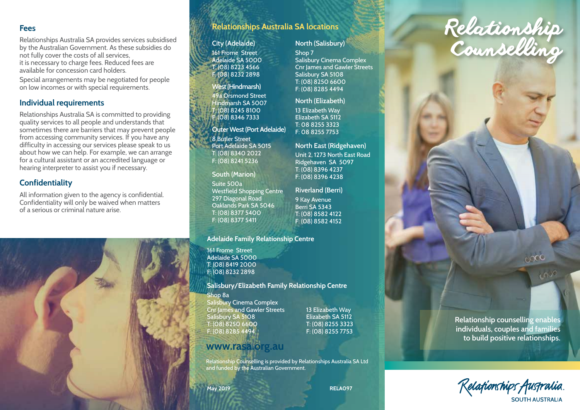### **Fees**

Relationships Australia SA provides services subsidised by the Australian Government. As these subsidies do not fully cover the costs of all services, it is necessary to charge fees. Reduced fees are available for concession card holders.

Special arrangements may be negotiated for people on low incomes or with special requirements.

# **Individual requirements**

Relationships Australia SA is committed to providing quality services to all people and understands that sometimes there are barriers that may prevent people from accessing community services. If you have any difficulty in accessing our services please speak to us about how we can help. For example, we can arrange for a cultural assistant or an accredited language or hearing interpreter to assist you if necessary.

# **Confidentiality**

All information given to the agency is confidential. Confidentiality will only be waived when matters of a serious or criminal nature arise.



# **Relationships Australia SA locations**

### **City (Adelaide)**

161 Frome Street Adelaide SA 5000 T: (08) 8223 4566 F: (08) 8232 2898

# **West (Hindmarsh)**

49a Orsmond Street Hindmarsh SA 5007 T: (08) 8245 8100 F: (08) 8346 7333

### **Outer West (Port Adelaide)** 8 Butler Street Port Adelaide SA 5015 T: (08) 8340 2022 F: (08) 8241 5236

**South (Marion)** Suite 500a Westfield Shopping Centre 297 Diagonal Road Oaklands Park SA 5046 T: (08) 8377 5400 F: (08) 8377 5411

### **Adelaide Family Relationship Centre**

161 Frome Street Adelaide SA 5000 T: (08) 8419 2000 F: (08) 8232 2898

#### **Salisbury/Elizabeth Family Relationship Centre**

Shop 8a Salisbury Cinema Complex Cnr James and Gawler Streets 13 Elizabeth Way Salisbury SA 5108 Elizabeth SA 5112 T: (08) 8250 6600 T: (08) 8255 3323 F: (08) 8285 4494 F: (08) 8255 7753

# **www.rasa.org.au**

Relationship Counselling is provided by Relationships Australia SA Ltd and funded by the Australian Government.

# **May 2019**

### Shop 7 Salisbury Cinema Complex

**North (Salisbury)**

Cnr James and Gawler Streets Salisbury SA 5108 T: (08) 8250 6600 F: (08) 8285 4494

### **North (Elizabeth)**

13 Elizabeth Way Elizabeth SA 5112 T: 08 8255 3323 F: 08 8255 7753

# **North East (Ridgehaven)**

Unit 2, 1273 North East Road Ridgehaven SA 5097 T: (08) 8396 4237 F: (08) 8396 4238

**Riverland (Berri)** 9 Kay Avenue

Berri SA 5343 T: (08) 8582 4122 F: (08) 8582 4152

# **Relationship counselling** Counselling

Relationship

**Relationship counselling enables individuals, couples and families to build positive relationships.** 

 $600$ 

Relafionships Australia SOUTH AUSTRALIA

**RELA097**